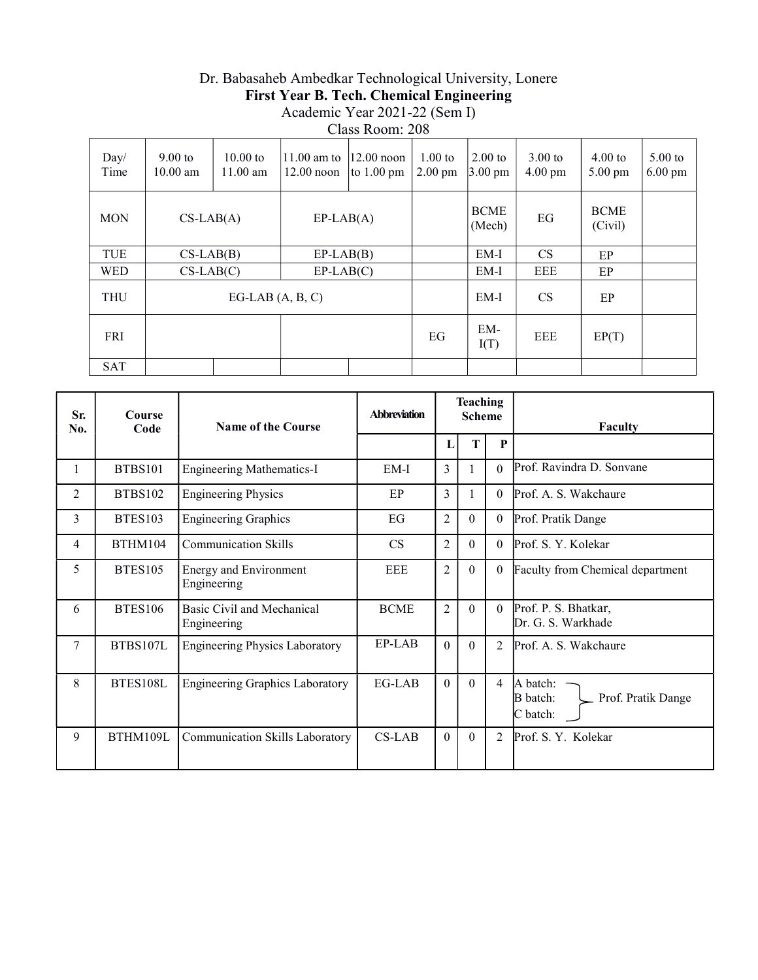## Dr. Babasaheb Ambedkar Technological University, Lonere First Year B. Tech. Chemical Engineering Academic Year 2021-22 (Sem I)

Class Room: 208

| Day/<br>Time | $9.00 \text{ to}$<br>$10.00$ am | $10.00 \text{ to}$<br>$11.00$ am | $11.00$ am to<br>$12.00$ noon | $12.00$ noon<br>to $1.00 \text{ pm}$ | $1.00$ to<br>$2.00 \text{ pm}$ | $2.00$ to<br>$3.00 \text{ pm}$ | $3.00$ to<br>$4.00 \text{ pm}$ | $4.00$ to<br>$5.00 \text{ pm}$ | $5.00$ to<br>$6.00 \text{ pm}$ |
|--------------|---------------------------------|----------------------------------|-------------------------------|--------------------------------------|--------------------------------|--------------------------------|--------------------------------|--------------------------------|--------------------------------|
| <b>MON</b>   | $CS-LAB(A)$<br>$EP-LAB(A)$      |                                  |                               | <b>BCME</b><br>(Mech)                | EG                             | <b>BCME</b><br>(Civil)         |                                |                                |                                |
| TUE          | $CS-LAB(B)$                     |                                  | $EP-LAB(B)$                   |                                      |                                | EM-I                           | <b>CS</b>                      | EP                             |                                |
| <b>WED</b>   | $CS-LAB(C)$                     |                                  | $EP-LAB(C)$                   |                                      |                                | $EM-I$                         | EEE                            | EP                             |                                |
| <b>THU</b>   |                                 | EG-LAB $(A, B, C)$               |                               |                                      |                                | EM-I                           | <b>CS</b>                      | EP                             |                                |
| <b>FRI</b>   |                                 |                                  |                               |                                      | EG                             | EM-<br>I(T)                    | EEE                            | EP(T)                          |                                |
| <b>SAT</b>   |                                 |                                  |                               |                                      |                                |                                |                                |                                |                                |

| Sr.<br>No.     | Course<br>Code | <b>Teaching</b><br><b>Abbreviation</b><br><b>Scheme</b><br>Name of the Course |             | Faculty        |          |                |                                                               |
|----------------|----------------|-------------------------------------------------------------------------------|-------------|----------------|----------|----------------|---------------------------------------------------------------|
|                |                |                                                                               |             | L              | T        | $\mathbf{P}$   |                                                               |
| 1              | <b>BTBS101</b> | <b>Engineering Mathematics-I</b>                                              | $EM-I$      | 3              | 1        | $\Omega$       | Prof. Ravindra D. Sonvane                                     |
| $\overline{2}$ | <b>BTBS102</b> | <b>Engineering Physics</b>                                                    | EP          | 3              | 1        | $\Omega$       | Prof. A. S. Wakchaure                                         |
| $\overline{3}$ | <b>BTES103</b> | <b>Engineering Graphics</b>                                                   | EG          | $\overline{2}$ | $\theta$ | $\Omega$       | Prof. Pratik Dange                                            |
| 4              | BTHM104        | <b>Communication Skills</b>                                                   | <b>CS</b>   | $\overline{2}$ | $\theta$ | $\Omega$       | Prof. S. Y. Kolekar                                           |
| 5              | BTES105        | <b>Energy and Environment</b><br>Engineering                                  | <b>EEE</b>  | $\overline{2}$ | $\theta$ | $\Omega$       | Faculty from Chemical department                              |
| 6              | <b>BTES106</b> | Basic Civil and Mechanical<br>Engineering                                     | <b>BCME</b> | $\overline{2}$ | $\Omega$ | $\Omega$       | Prof. P. S. Bhatkar,<br>Dr. G. S. Warkhade                    |
| 7              | BTBS107L       | <b>Engineering Physics Laboratory</b>                                         | EP-LAB      | $\Omega$       | $\theta$ | $\mathfrak{D}$ | Prof. A. S. Wakchaure                                         |
| 8              | BTES108L       | <b>Engineering Graphics Laboratory</b>                                        | EG-LAB      | $\Omega$       | $\Omega$ | 4              | A batch:<br><b>B</b> batch:<br>Prof. Pratik Dange<br>C batch: |
| 9              | BTHM109L       | Communication Skills Laboratory                                               | $CS-LAB$    | $\theta$       | $\theta$ | $\overline{2}$ | Prof. S. Y. Kolekar                                           |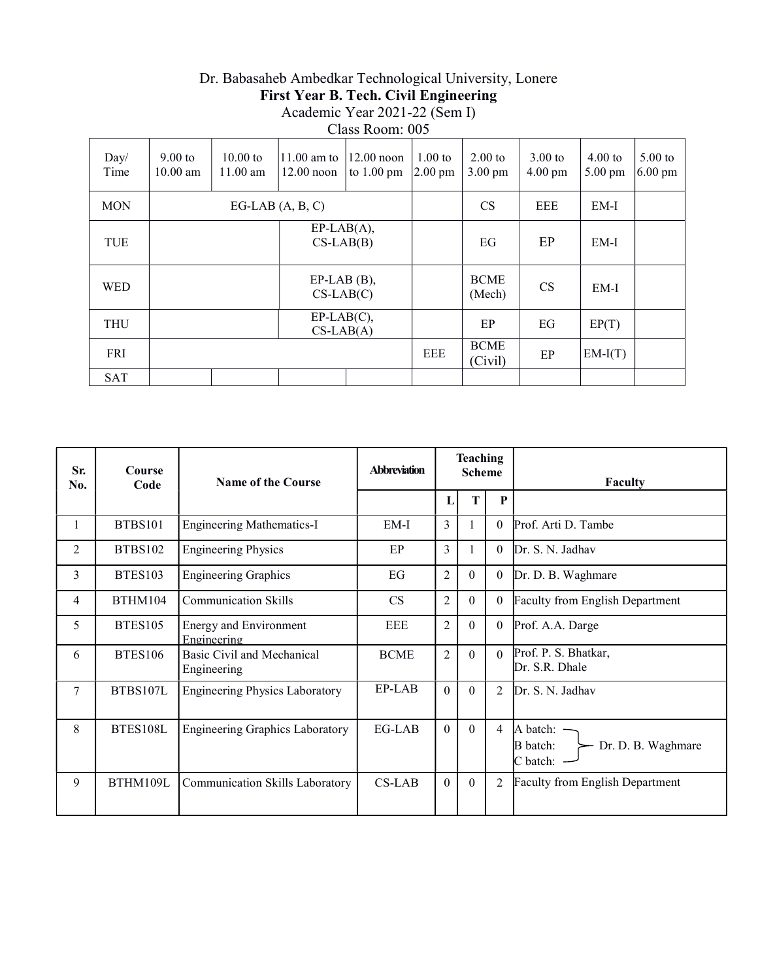### Dr. Babasaheb Ambedkar Technological University, Lonere First Year B. Tech. Civil Engineering Academic Year 2021-22 (Sem I) Class Room: 005

| Day/<br>Time | $9.00$ to<br>$10.00$ am | $10.00 \text{ to}$<br>$11.00$ am | 11.00 am to<br>$12.00$ noon  | $12.00$ noon<br>to $1.00 \text{ pm}$ | $1.00$ to<br>$2.00 \text{ pm}$ | $2.00$ to<br>$3.00 \text{ pm}$ | $3.00$ to<br>$4.00 \text{ pm}$ | $4.00$ to<br>$5.00 \text{ pm}$ | $5.00$ to<br>$6.00 \text{ pm}$ |
|--------------|-------------------------|----------------------------------|------------------------------|--------------------------------------|--------------------------------|--------------------------------|--------------------------------|--------------------------------|--------------------------------|
| <b>MON</b>   |                         |                                  | $EG-LAB(A, B, C)$            |                                      |                                | <b>CS</b>                      | EEE                            | $EM-I$                         |                                |
| TUE          |                         |                                  | $EP-LAB(A),$<br>$CS-LAB(B)$  |                                      |                                | EG                             | EP                             | EM-I                           |                                |
| <b>WED</b>   |                         |                                  | $EP-LAB$ (B),<br>$CS-LAB(C)$ |                                      |                                | <b>BCME</b><br>(Mech)          | <b>CS</b>                      | EM-I                           |                                |
| <b>THU</b>   |                         |                                  | $EP-LAB(C),$<br>$CS-LAB(A)$  |                                      |                                | EP                             | EG                             | EP(T)                          |                                |
| FRI          |                         |                                  |                              |                                      | EEE                            | <b>BCME</b><br>(Civil)         | EP                             | $EM-I(T)$                      |                                |
| <b>SAT</b>   |                         |                                  |                              |                                      |                                |                                |                                |                                |                                |

| Sr.<br>No. | Course<br>Code | <b>Name of the Course</b>                    | <b>Abbreviation</b> |                | <b>Teaching</b><br><b>Scheme</b> |                  | Faculty                                                                              |
|------------|----------------|----------------------------------------------|---------------------|----------------|----------------------------------|------------------|--------------------------------------------------------------------------------------|
|            |                |                                              |                     | L              | Т                                | $\mathbf{P}$     |                                                                                      |
| 1          | <b>BTBS101</b> | <b>Engineering Mathematics-I</b>             | $EM-I$              | 3              | 1                                | $\Omega$         | Prof. Arti D. Tambe                                                                  |
| 2          | <b>BTBS102</b> | <b>Engineering Physics</b>                   | EP                  | 3              |                                  | $\Omega$         | Dr. S. N. Jadhav                                                                     |
| 3          | <b>BTES103</b> | <b>Engineering Graphics</b>                  | EG                  | $\overline{2}$ | $\theta$                         | $\boldsymbol{0}$ | Dr. D. B. Waghmare                                                                   |
| 4          | BTHM104        | <b>Communication Skills</b>                  | <b>CS</b>           | $\overline{2}$ | $\theta$                         | $\theta$         | <b>Faculty from English Department</b>                                               |
| 5          | BTES105        | <b>Energy and Environment</b><br>Engineering | EEE                 | $\overline{2}$ | $\Omega$                         | $\theta$         | Prof. A.A. Darge                                                                     |
| 6          | <b>BTES106</b> | Basic Civil and Mechanical<br>Engineering    | <b>BCME</b>         | $\overline{2}$ | $\Omega$                         | $\Omega$         | Prof. P. S. Bhatkar,<br>Dr. S.R. Dhale                                               |
| 7          | BTBS107L       | <b>Engineering Physics Laboratory</b>        | EP-LAB              | $\Omega$       | $\theta$                         | $\mathfrak{D}$   | Dr. S. N. Jadhav                                                                     |
| 8          | BTES108L       | <b>Engineering Graphics Laboratory</b>       | EG-LAB              | $\Omega$       | $\theta$                         | 4                | A batch: -<br>Dr. D. B. Waghmare<br>B batch:<br>$\overline{\phantom{0}}$<br>C batch: |
| 9          | BTHM109L       | Communication Skills Laboratory              | $CS-LAB$            | $\theta$       | $\theta$                         | 2                | <b>Faculty from English Department</b>                                               |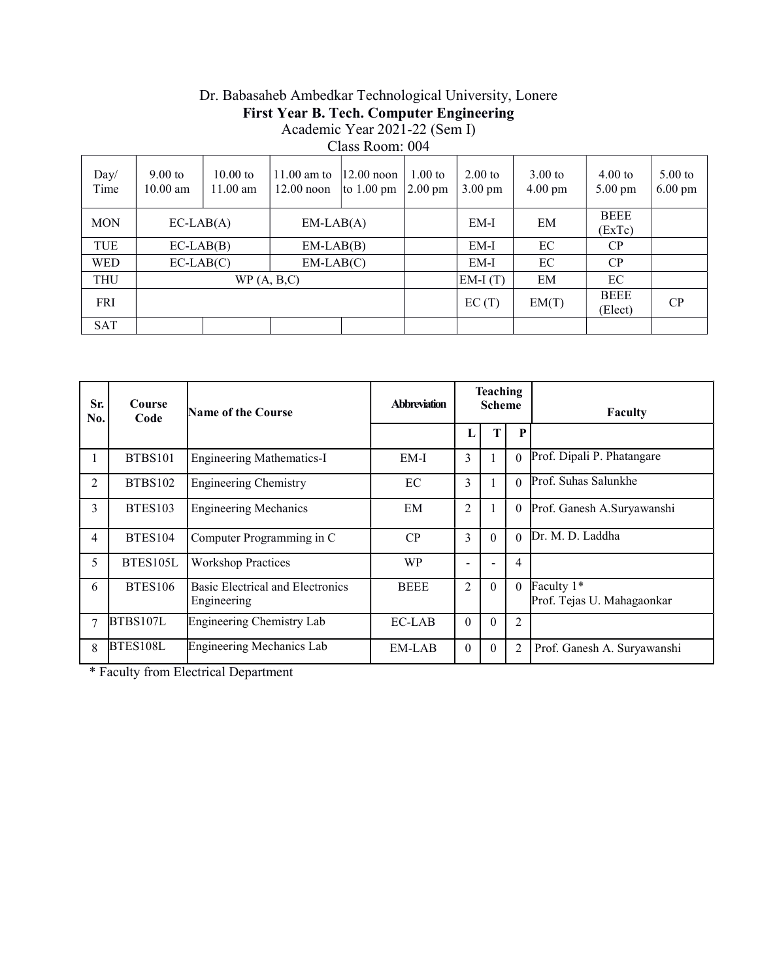# Dr. Babasaheb Ambedkar Technological University, Lonere First Year B. Tech. Computer Engineering Academic Year 2021-22 (Sem I)

Class Room: 004

| Day/<br>Time | $9.00$ to<br>$10.00$ am | $10.00$ to<br>$11.00$ am | $11.00$ am to<br>$12.00$ noon | $ 12.00 $ noon<br>to $1.00 \text{ pm}$ | $1.00$ to<br>$2.00 \text{ pm}$ | $2.00$ to<br>$3.00 \text{ pm}$ | $3.00$ to<br>$4.00 \text{ pm}$ | $4.00$ to<br>$5.00 \text{ pm}$ | $5.00$ to<br>$6.00 \text{ pm}$ |
|--------------|-------------------------|--------------------------|-------------------------------|----------------------------------------|--------------------------------|--------------------------------|--------------------------------|--------------------------------|--------------------------------|
| <b>MON</b>   | $EC-LAB(A)$             |                          | $EM-LAB(A)$                   |                                        |                                | $EM-I$                         | EM                             | <b>BEEE</b><br>(ExTe)          |                                |
| TUE          | $EC-LAB(B)$             |                          | $EM-LAB(B)$                   |                                        |                                | $EM-I$                         | EC                             | CP                             |                                |
| <b>WED</b>   | $EC-LAB(C)$             |                          | $EM-LAB(C)$                   |                                        |                                | $EM-I$                         | EC                             | CP                             |                                |
| <b>THU</b>   |                         | WP(A, B, C)              |                               |                                        |                                | $EM-I(T)$                      | EM                             | EC                             |                                |
| FRI          |                         |                          |                               |                                        |                                | EC(T)                          | EM(T)                          | <b>BEEE</b><br>(Elect)         | CP                             |
| <b>SAT</b>   |                         |                          |                               |                                        |                                |                                |                                |                                |                                |

| Sr.<br>No.     | Course<br>Code | Name of the Course                              | <b>Abbreviation</b> |                | <b>Teaching</b><br><b>Scheme</b> |                | Faculty                                  |
|----------------|----------------|-------------------------------------------------|---------------------|----------------|----------------------------------|----------------|------------------------------------------|
|                |                |                                                 |                     | L              |                                  | P              |                                          |
|                | <b>BTBS101</b> | <b>Engineering Mathematics-I</b>                | EM-I                | 3              |                                  |                | Prof. Dipali P. Phatangare               |
| $\overline{2}$ | <b>BTBS102</b> | <b>Engineering Chemistry</b>                    | EC                  | 3              |                                  | $\Omega$       | Prof. Suhas Salunkhe                     |
| 3              | BTES103        | <b>Engineering Mechanics</b>                    | EM                  | 2              |                                  | $\theta$       | Prof. Ganesh A.Suryawanshi               |
| 4              | BTES104        | Computer Programming in C                       | CP                  | 3              | $\Omega$                         | $\Omega$       | Dr. M. D. Laddha                         |
| 5              | BTES105L       | <b>Workshop Practices</b>                       | <b>WP</b>           |                |                                  | 4              |                                          |
| 6              | <b>BTES106</b> | Basic Electrical and Electronics<br>Engineering | <b>BEEE</b>         | $\overline{2}$ | $\theta$                         | $\theta$       | Faculty 1*<br>Prof. Tejas U. Mahagaonkar |
| $\tau$         | BTBS107L       | Engineering Chemistry Lab                       | EC-LAB              | $\Omega$       | $\Omega$                         | 2              |                                          |
| 8              | BTES108L       | <b>Engineering Mechanics Lab</b>                | EM-LAB              | $\theta$       | $\theta$                         | $\overline{2}$ | Prof. Ganesh A. Suryawanshi              |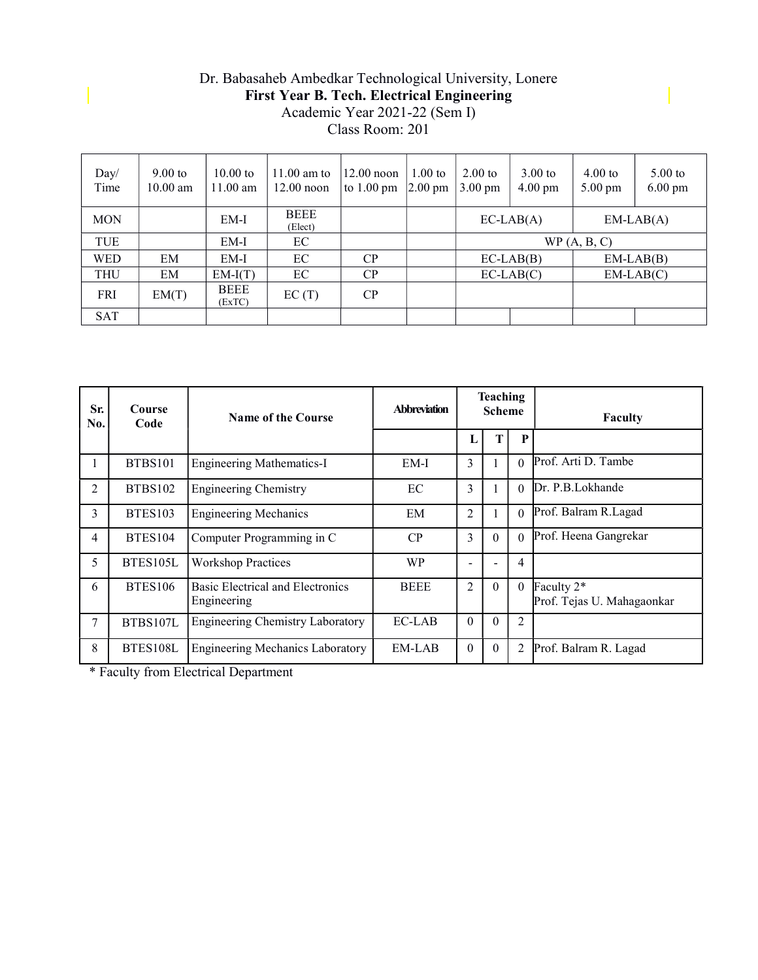#### Dr. Babasaheb Ambedkar Technological University, Lonere First Year B. Tech. Electrical Engineering Academic Year 2021-22 (Sem I) Class Room: 201

| Day/<br>Time | $9.00$ to<br>$10.00$ am | $10.00$ to<br>$11.00$ am | $11.00$ am to<br>$12.00$ noon | $12.00$ noon<br>to $1.00 \text{ pm}$ | $1.00$ to<br>$ 2.00 \text{ pm} $ | $2.00$ to<br>$3.00 \text{ pm}$ | $3.00$ to<br>$4.00 \text{ pm}$ | $4.00$ to<br>$5.00 \text{ pm}$ | $5.00$ to<br>$6.00 \text{ pm}$ |  |
|--------------|-------------------------|--------------------------|-------------------------------|--------------------------------------|----------------------------------|--------------------------------|--------------------------------|--------------------------------|--------------------------------|--|
| <b>MON</b>   |                         | EM-I                     | <b>BEEE</b><br>(Elect)        |                                      |                                  |                                | $EC-LAB(A)$                    |                                | $EM-LAB(A)$                    |  |
| TUE          |                         | EM-I                     | EC                            |                                      |                                  |                                |                                | WP(A, B, C)                    |                                |  |
| <b>WED</b>   | EM                      | $EM-I$                   | EC                            | CP                                   |                                  |                                | $EC-LAB(B)$                    | $EM-LAB(B)$                    |                                |  |
| <b>THU</b>   | EM                      | $EM-I(T)$                | EC                            | CP                                   |                                  |                                | $EC-LAB(C)$                    |                                | $EM-LAB(C)$                    |  |
| <b>FRI</b>   | EM(T)                   | <b>BEEE</b><br>(ExTC)    | EC(T)                         | CP                                   |                                  |                                |                                |                                |                                |  |
| <b>SAT</b>   |                         |                          |                               |                                      |                                  |                                |                                |                                |                                |  |

| Sr.<br>No.     | Course<br>Code | <b>Name of the Course</b>                       | <b>Abbreviation</b> | <b>Teaching</b><br><b>Scheme</b> |                    |          | Faculty                                  |
|----------------|----------------|-------------------------------------------------|---------------------|----------------------------------|--------------------|----------|------------------------------------------|
|                |                |                                                 |                     | L                                | T                  | P        |                                          |
| 1              | BTBS101        | <b>Engineering Mathematics-I</b>                | $EM-I$              | 3                                |                    |          | Prof. Arti D. Tambe                      |
| 2              | <b>BTBS102</b> | <b>Engineering Chemistry</b>                    | EC                  | 3                                |                    | $\Omega$ | Dr. P.B. Lokhande                        |
| 3              | BTES103        | <b>Engineering Mechanics</b>                    | EM                  | $\overline{2}$                   |                    | 0        | Prof. Balram R.Lagad                     |
| $\overline{4}$ | BTES104        | Computer Programming in C                       | CP                  | 3                                | $\theta$           | $\Omega$ | Prof. Heena Gangrekar                    |
| 5              | BTES105L       | <b>Workshop Practices</b>                       | <b>WP</b>           |                                  |                    | 4        |                                          |
| 6              | <b>BTES106</b> | Basic Electrical and Electronics<br>Engineering | <b>BEEE</b>         | 2                                | $\theta$           | $\theta$ | Faculty 2*<br>Prof. Tejas U. Mahagaonkar |
| 7              | BTBS107L       | <b>Engineering Chemistry Laboratory</b>         | EC-LAB              | $\theta$                         | $\theta$           | 2        |                                          |
| 8              | BTES108L       | <b>Engineering Mechanics Laboratory</b>         | EM-LAB              | $\theta$                         | $\left( 0 \right)$ | 2        | Prof. Balram R. Lagad                    |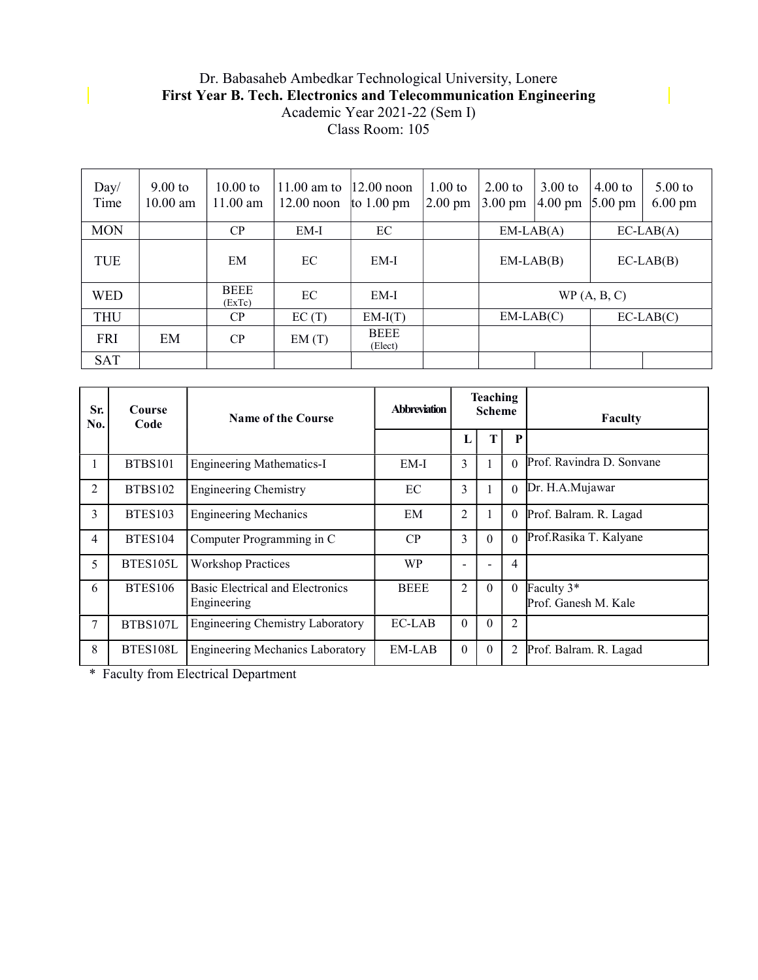#### Dr. Babasaheb Ambedkar Technological University, Lonere First Year B. Tech. Electronics and Telecommunication Engineering Academic Year 2021-22 (Sem I) Class Room: 105

| Day/<br>Time | $9.00$ to<br>$10.00$ am | $10.00$ to<br>$11.00$ am | $11.00$ am to<br>$12.00$ noon | $ 12.00 $ noon<br>to $1.00 \text{ pm}$ | $1.00$ to<br>$ 2.00 \text{ pm} $ | $2.00$ to<br>$3.00 \text{ pm}$ | $3.00$ to<br>$4.00 \text{ pm}$ | $4.00$ to<br>$5.00 \text{ pm}$ | $5.00$ to<br>$6.00 \text{ pm}$ |  |
|--------------|-------------------------|--------------------------|-------------------------------|----------------------------------------|----------------------------------|--------------------------------|--------------------------------|--------------------------------|--------------------------------|--|
| <b>MON</b>   |                         | CP                       | EM-I                          | EC                                     |                                  | $EM-LAB(A)$                    |                                | $EC-LAB(A)$                    |                                |  |
| TUE          |                         | EM                       | EC.                           | EM-I                                   |                                  |                                | $EM-LAB(B)$                    |                                | $EC-LAB(B)$                    |  |
| <b>WED</b>   |                         | <b>BEEE</b><br>(ExTc)    | EC                            | EM-I                                   |                                  |                                |                                | WP(A, B, C)                    |                                |  |
| <b>THU</b>   |                         | CP                       | EC(T)                         | $EM-I(T)$                              |                                  |                                | $EM-LAB(C)$                    |                                | $EC-LAB(C)$                    |  |
| <b>FRI</b>   | EM                      | CP                       | EM(T)                         | <b>BEEE</b><br>(Elect)                 |                                  |                                |                                |                                |                                |  |
| <b>SAT</b>   |                         |                          |                               |                                        |                                  |                                |                                |                                |                                |  |

| Sr.<br>No.     | <b>Course</b><br>Code | <b>Name of the Course</b>                              | <b>Abbreviation</b> | <b>Teaching</b><br><b>Scheme</b> |          |                | <b>Faculty</b>                     |
|----------------|-----------------------|--------------------------------------------------------|---------------------|----------------------------------|----------|----------------|------------------------------------|
|                |                       |                                                        |                     | L                                |          | P              |                                    |
|                | BTBS101               | <b>Engineering Mathematics-I</b>                       | EM-I                | 3                                |          |                | 0 Prof. Ravindra D. Sonvane        |
| 2              | <b>BTBS102</b>        | <b>Engineering Chemistry</b>                           | EC                  | 3                                |          | $\Omega$       | Dr. H.A.Mujawar                    |
| $\overline{3}$ | <b>BTES103</b>        | <b>Engineering Mechanics</b>                           | EM                  | $\overline{2}$                   |          | $\theta$       | Prof. Balram. R. Lagad             |
| $\overline{4}$ | BTES104               | Computer Programming in C                              | CP                  | 3                                | $\theta$ | $\Omega$       | Prof.Rasika T. Kalyane             |
| 5              | BTES105L              | <b>Workshop Practices</b>                              | <b>WP</b>           |                                  |          | $\overline{4}$ |                                    |
| 6              | <b>BTES106</b>        | <b>Basic Electrical and Electronics</b><br>Engineering | <b>BEEE</b>         | 2                                | $\theta$ | $\theta$       | Faculty 3*<br>Prof. Ganesh M. Kale |
| 7              | BTBS107L              | <b>Engineering Chemistry Laboratory</b>                | $EC-LAB$            | $\theta$                         | $\theta$ | 2              |                                    |
| 8              | BTES108L              | <b>Engineering Mechanics Laboratory</b>                | EM-LAB              | $\theta$                         | $\theta$ | 2              | Prof. Balram. R. Lagad             |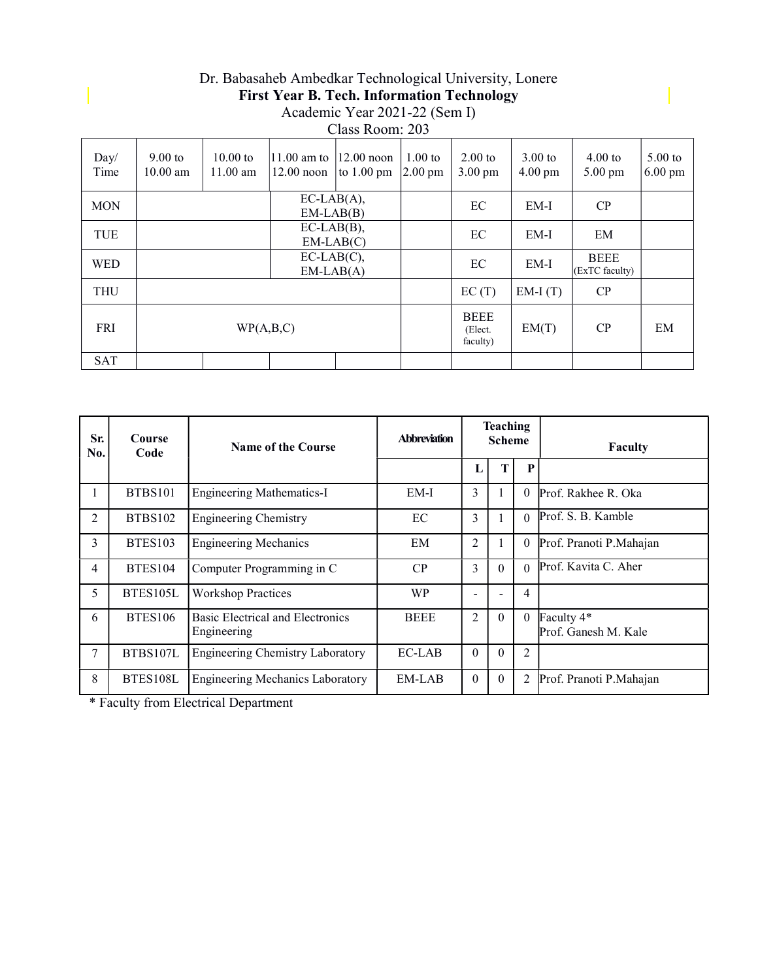#### Dr. Babasaheb Ambedkar Technological University, Lonere First Year B. Tech. Information Technology Academic Year 2021-22 (Sem I) Class Room: 203

| Day/<br>Time | $9.00$ to<br>$10.00 \text{ am}$ | $10.00 \text{ to}$<br>$11.00$ am | $ 11.00 \text{ am to }$<br>$12.00$ noon | $12.00$ noon<br>to $1.00 \text{ pm}$ | $1.00$ to<br>$2.00 \text{ pm}$ | $2.00$ to<br>$3.00 \text{ pm}$     | $3.00$ to<br>$4.00 \text{ pm}$ | $4.00$ to<br>$5.00 \text{ pm}$ | $5.00$ to<br>$6.00 \text{ pm}$ |
|--------------|---------------------------------|----------------------------------|-----------------------------------------|--------------------------------------|--------------------------------|------------------------------------|--------------------------------|--------------------------------|--------------------------------|
| <b>MON</b>   |                                 |                                  | $EC-LAB(A),$<br>$EM-LAB(B)$             |                                      |                                | EC                                 | EM-I                           | CP                             |                                |
| TUE          |                                 |                                  | $EC-LAB(B),$                            | $EM-LAB(C)$                          |                                | EC                                 | $EM-I$                         | EM                             |                                |
| <b>WED</b>   |                                 |                                  | $EC-LAB(C),$<br>$EM-LAB(A)$             |                                      |                                | EC                                 | $EM-I$                         | <b>BEEE</b><br>(ExTC faculty)  |                                |
| <b>THU</b>   |                                 |                                  |                                         |                                      |                                | EC(T)                              | $EM-I(T)$                      | CP                             |                                |
| <b>FRI</b>   |                                 | WP(A,B,C)                        |                                         |                                      |                                | <b>BEEE</b><br>(Elect.<br>faculty) | EM(T)                          | CP                             | EM                             |
| <b>SAT</b>   |                                 |                                  |                                         |                                      |                                |                                    |                                |                                |                                |

| Sr.<br>No. | Course<br>Code | <b>Name of the Course</b>                       | <b>Teaching</b><br><b>Abbreviation</b><br><b>Scheme</b> |                | <b>Faculty</b> |          |                                    |
|------------|----------------|-------------------------------------------------|---------------------------------------------------------|----------------|----------------|----------|------------------------------------|
|            |                |                                                 |                                                         | L              |                | P        |                                    |
|            | <b>BTBS101</b> | <b>Engineering Mathematics-I</b>                | EM-I                                                    | 3              |                | $\Omega$ | Prof. Rakhee R. Oka                |
| 2          | <b>BTBS102</b> | <b>Engineering Chemistry</b>                    | EC                                                      | 3              |                | $\Omega$ | Prof. S. B. Kamble                 |
| 3          | <b>BTES103</b> | <b>Engineering Mechanics</b>                    | EM                                                      | $\overline{c}$ |                | $\theta$ | Prof. Pranoti P.Mahajan            |
| 4          | <b>BTES104</b> | Computer Programming in C                       | CP                                                      | 3              | $\Omega$       | $\Omega$ | Prof. Kavita C. Aher               |
| 5          | BTES105L       | <b>Workshop Practices</b>                       | <b>WP</b>                                               |                |                | 4        |                                    |
| 6          | <b>BTES106</b> | Basic Electrical and Electronics<br>Engineering | <b>BEEE</b>                                             | 2              | $\theta$       | $\theta$ | Faculty 4*<br>Prof. Ganesh M. Kale |
| 7          | BTBS107L       | <b>Engineering Chemistry Laboratory</b>         | EC-LAB                                                  | $\Omega$       | $\theta$       | 2        |                                    |
| 8          | BTES108L       | <b>Engineering Mechanics Laboratory</b>         | EM-LAB                                                  | $\Omega$       | $\theta$       | 2        | Prof. Pranoti P.Mahajan            |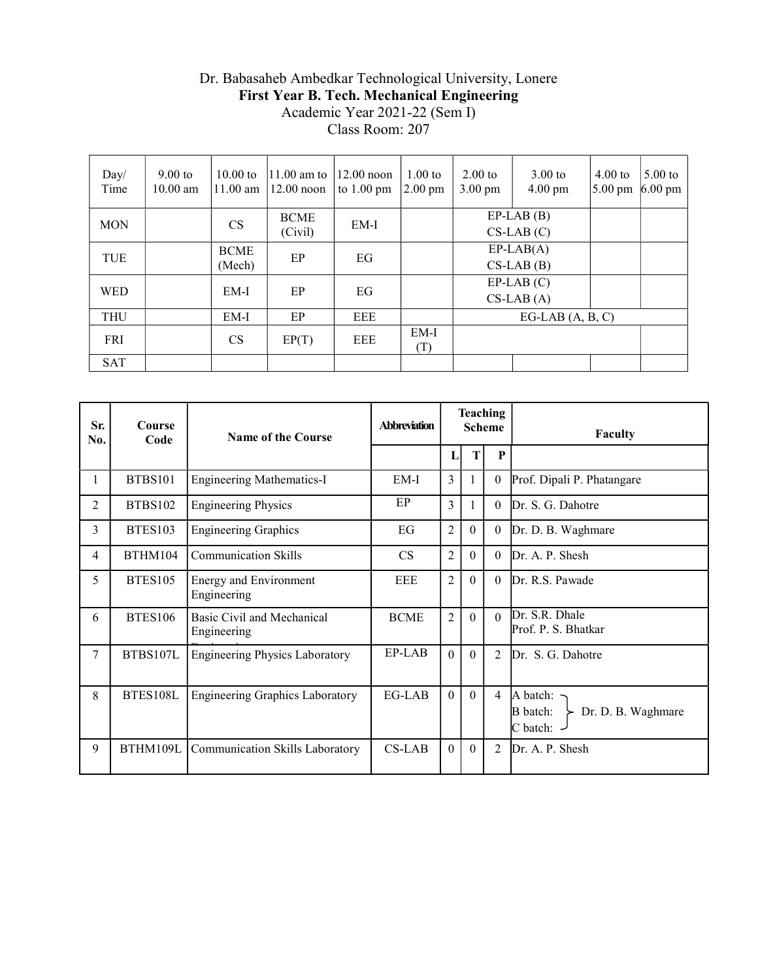#### Dr. Babasaheb Ambedkar Technological University, Lonere First Year B. Tech. Mechanical Engineering Academic Year 2021-22 (Sem I) Class Room: 207

| Day/<br>Time | $9.00$ to<br>$10.00$ am | $10.00$ to<br>$11.00$ am | $11.00$ am to<br>$12.00$ noon | $12.00$ noon<br>to $1.00 \text{ pm}$ | $1.00$ to<br>$2.00 \text{ pm}$ | $2.00$ to<br>$3.00 \text{ pm}$ | $3.00$ to<br>$4.00 \text{ pm}$ | $4.00$ to<br>$5.00 \text{ pm}$ | $5.00$ to<br>$6.00 \text{ pm}$ |  |
|--------------|-------------------------|--------------------------|-------------------------------|--------------------------------------|--------------------------------|--------------------------------|--------------------------------|--------------------------------|--------------------------------|--|
| <b>MON</b>   |                         | <b>CS</b>                | <b>BCME</b><br>(Civil)        | $EM-I$                               |                                |                                | $EP-LAB$ $(B)$<br>$CS-LAB(C)$  |                                |                                |  |
| TUE          |                         | <b>BCME</b><br>(Mech)    | EP                            | EG                                   |                                |                                | $EP-LAB(A)$<br>$CS-LAB(B)$     |                                |                                |  |
| <b>WED</b>   |                         | EM-I                     | EP                            | EG                                   |                                |                                | $EP-LAB(C)$<br>$CS-LAB(A)$     |                                |                                |  |
| <b>THU</b>   |                         | $EM-I$                   | EP                            | <b>EEE</b>                           |                                | $EG-LAB(A, B, C)$              |                                |                                |                                |  |
| <b>FRI</b>   |                         | <b>CS</b>                | EP(T)                         | <b>EEE</b>                           | $EM-I$<br>(T)                  |                                |                                |                                |                                |  |
| <b>SAT</b>   |                         |                          |                               |                                      |                                |                                |                                |                                |                                |  |

| Sr.<br>No.     | Course<br>Code | <b>Name of the Course</b>                 | <b>Abbreviation</b> | <b>Teaching</b><br><b>Scheme</b> |          |                | <b>Faculty</b>                                                                   |
|----------------|----------------|-------------------------------------------|---------------------|----------------------------------|----------|----------------|----------------------------------------------------------------------------------|
|                |                |                                           |                     | L                                | T        | P              |                                                                                  |
| 1              | <b>BTBS101</b> | <b>Engineering Mathematics-I</b>          | EM-I                | 3                                |          | $\theta$       | Prof. Dipali P. Phatangare                                                       |
| 2              | <b>BTBS102</b> | <b>Engineering Physics</b>                | EP                  | 3                                |          | $\theta$       | Dr. S. G. Dahotre                                                                |
| $\overline{3}$ | <b>BTES103</b> | <b>Engineering Graphics</b>               | EG                  | $\overline{c}$                   | $\theta$ | $\overline{0}$ | Dr. D. B. Waghmare                                                               |
| 4              | BTHM104        | <b>Communication Skills</b>               | CS                  | 2                                | $\Omega$ | $\Omega$       | Dr. A. P. Shesh                                                                  |
| 5              | <b>BTES105</b> | Energy and Environment<br>Engineering     | EEE                 | $\overline{2}$                   | $\theta$ | $\theta$       | Dr. R.S. Pawade                                                                  |
| 6              | <b>BTES106</b> | Basic Civil and Mechanical<br>Engineering | <b>BCME</b>         | $\overline{2}$                   | $\Omega$ | $\Omega$       | Dr. S.R. Dhale<br>Prof. P. S. Bhatkar                                            |
| $\tau$         | BTBS107L       | <b>Engineering Physics Laboratory</b>     | EP-LAB              | $\theta$                         | $\Omega$ | $\mathfrak{D}$ | Dr. S. G. Dahotre                                                                |
| 8              | BTES108L       | <b>Engineering Graphics Laboratory</b>    | EG-LAB              | $\mathbf{0}$                     | $\theta$ | $\overline{4}$ | A batch: $\neg$<br>$\triangleright$ Dr. D. B. Waghmare<br>B batch:<br>C batch: - |
| 9              | BTHM109L       | Communication Skills Laboratory           | $CS-LAB$            | $\overline{0}$                   | $\theta$ | 2              | Dr. A. P. Shesh                                                                  |